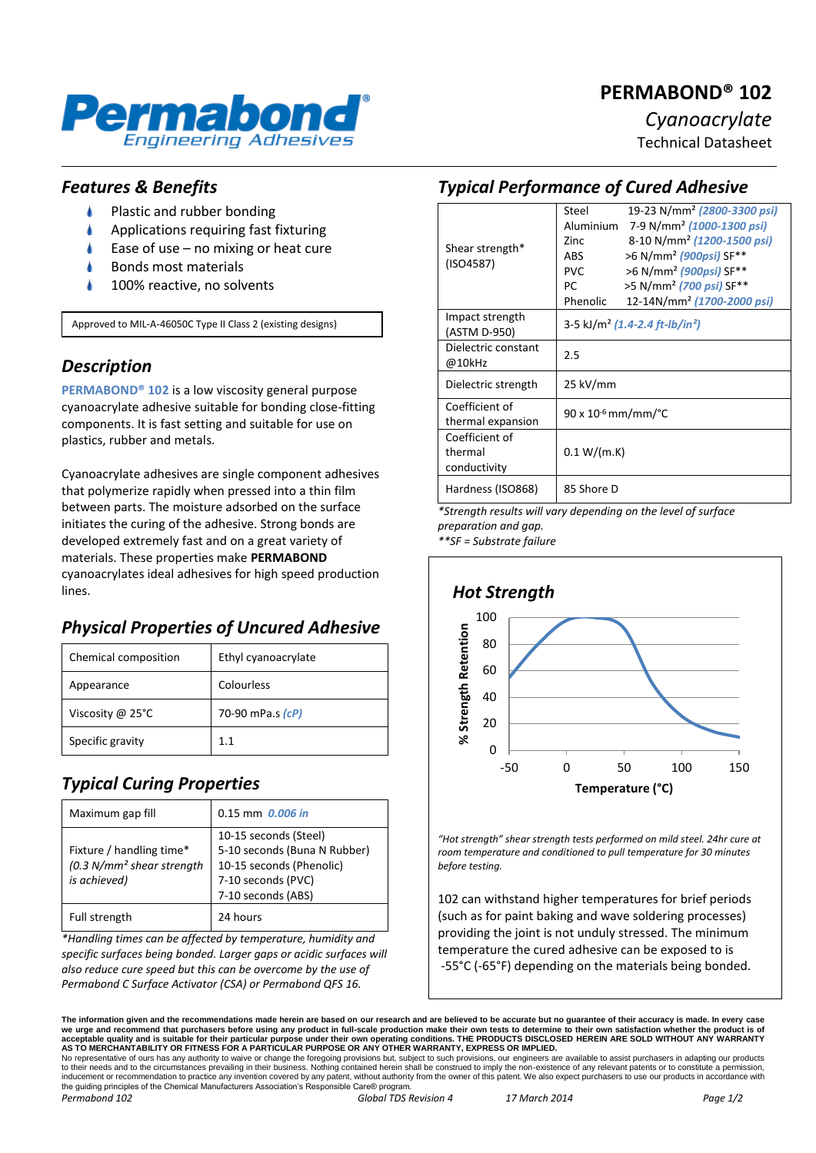# **PERMABOND® 102**



## *Cyanoacrylate*

Technical Datasheet

#### *Features & Benefits*

- Plastic and rubber bonding
- Applications requiring fast fixturing
- Ease of use no mixing or heat cure
- Bonds most materials
- 100% reactive, no solvents

Approved to MIL-A-46050C Type II Class 2 (existing designs)

### *Description*

**PERMABOND® 102** is a low viscosity general purpose cyanoacrylate adhesive suitable for bonding close-fitting components. It is fast setting and suitable for use on plastics, rubber and metals.

Cyanoacrylate adhesives are single component adhesives that polymerize rapidly when pressed into a thin film between parts. The moisture adsorbed on the surface initiates the curing of the adhesive. Strong bonds are developed extremely fast and on a great variety of materials. These properties make **PERMABOND**  cyanoacrylates ideal adhesives for high speed production lines.

## *Physical Properties of Uncured Adhesive*

| Chemical composition       | Ethyl cyanoacrylate |
|----------------------------|---------------------|
| Appearance                 | Colourless          |
| Viscosity @ $25^{\circ}$ C | 70-90 mPa.s (cP)    |
| Specific gravity           | 11                  |

## *Typical Curing Properties*

| Maximum gap fill                                                                   | $0.15$ mm $0.006$ in                                                                                                          |
|------------------------------------------------------------------------------------|-------------------------------------------------------------------------------------------------------------------------------|
| Fixture / handling time*<br>(0.3 N/mm <sup>2</sup> shear strength)<br>is achieved) | 10-15 seconds (Steel)<br>5-10 seconds (Buna N Rubber)<br>10-15 seconds (Phenolic)<br>7-10 seconds (PVC)<br>7-10 seconds (ABS) |
| Full strength                                                                      | 24 hours                                                                                                                      |

*\*Handling times can be affected by temperature, humidity and specific surfaces being bonded. Larger gaps or acidic surfaces will also reduce cure speed but this can be overcome by the use of Permabond C Surface Activator (CSA) or Permabond QFS 16.*

#### *Typical Performance of Cured Adhesive*

| Shear strength*<br>(ISO4587) | Steel                                                  | 19-23 N/mm <sup>2</sup> (2800-3300 psi) |
|------------------------------|--------------------------------------------------------|-----------------------------------------|
|                              | Aluminium                                              | 7-9 N/mm <sup>2</sup> (1000-1300 psi)   |
|                              | 7inc                                                   | 8-10 N/mm <sup>2</sup> (1200-1500 psi)  |
|                              | <b>ARS</b>                                             | >6 N/mm <sup>2</sup> (900psi) SF**      |
|                              | <b>PVC</b>                                             | >6 N/mm <sup>2</sup> (900psi) SF**      |
|                              | PC                                                     | >5 N/mm <sup>2</sup> (700 psi) SF**     |
|                              | Phenolic                                               | 12-14N/mm <sup>2</sup> (1700-2000 psi)  |
| Impact strength              | 3-5 kJ/m <sup>2</sup> (1.4-2.4 ft-lb/in <sup>2</sup> ) |                                         |
| (ASTM D-950)                 |                                                        |                                         |
| Dielectric constant          | 2.5                                                    |                                         |
| @10kHz                       |                                                        |                                         |
| Dielectric strength          | 25 kV/mm                                               |                                         |
|                              |                                                        |                                         |
| Coefficient of               | $90 \times 10^{-6}$ mm/mm/°C                           |                                         |
| thermal expansion            |                                                        |                                         |
| Coefficient of               |                                                        |                                         |
| thermal                      | 0.1 W/(m.K)                                            |                                         |
| conductivity                 |                                                        |                                         |
| Hardness (ISO868)            | 85 Shore D                                             |                                         |
|                              |                                                        |                                         |

*\*Strength results will vary depending on the level of surface preparation and gap.*

*\*\*SF = Substrate failure*



*"Hot strength" shear strength tests performed on mild steel. 24hr cure at room temperature and conditioned to pull temperature for 30 minutes before testing.*

102 can withstand higher temperatures for brief periods (such as for paint baking and wave soldering processes) providing the joint is not unduly stressed. The minimum temperature the cured adhesive can be exposed to is -55°C (-65°F) depending on the materials being bonded.

**The information given and the recommendations made herein are based on our research and are believed to be accurate but no guarantee of their accuracy is made. In every case**  we urge and recommend that purchasers before using any product in full-scale production make their own tests to determine to their own satisfaction whether the product is of<br>acceptable quality and is suitable for their par No representative of ours has any authority to waive or change the foregoing provisions but, subject to such provisions, our engineers are available to assist purchasers in adapting our products

to their needs and to the circumstances prevailing in their business. Nothing contained herein shall be construed to imply the non-existence of any relevant patents or to constitute a permission inducement or recommendation to practice any invention covered by any patent, without authority from the owner of this patent. We also expect purchasers to use our products in accordance with the guiding principles of the Chemical Manufacturers Association's Responsible Care® program *Permabond 102 Global TDS Revision 4 17 March 2014 Page 1/2*